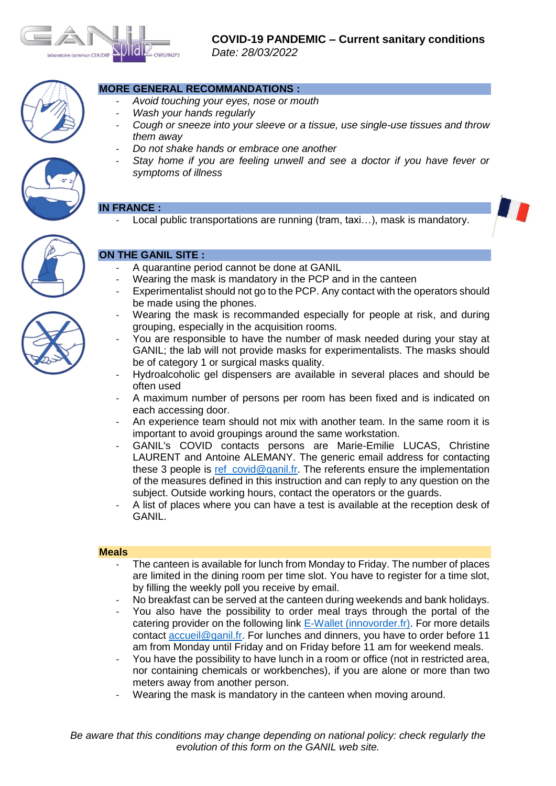



## **MORE GENERAL RECOMMANDATIONS :**

- *Avoid touching your eyes, nose or mouth*
- *Wash your hands regularly*
- *Cough or sneeze into your sleeve or a tissue, use single-use tissues and throw them away*
- *Do not shake hands or embrace one another*
- *Stay home if you are feeling unwell and see a doctor if you have fever or symptoms of illness*

## **IN FRANCE :**

Local public transportations are running (tram,  $\overline{taxi...}$ ), mask is mandatory.



# **ON THE GANIL SITE :**

- A quarantine period cannot be done at GANIL
- Wearing the mask is mandatory in the PCP and in the canteen
- Experimentalist should not go to the PCP. Any contact with the operators should be made using the phones.
- Wearing the mask is recommanded especially for people at risk, and during grouping, especially in the acquisition rooms.
- You are responsible to have the number of mask needed during your stay at GANIL; the lab will not provide masks for experimentalists. The masks should be of category 1 or surgical masks quality.
- Hydroalcoholic gel dispensers are available in several places and should be often used
- A maximum number of persons per room has been fixed and is indicated on each accessing door.
- An experience team should not mix with another team. In the same room it is important to avoid groupings around the same workstation.
- GANIL's COVID contacts persons are Marie-Emilie LUCAS, Christine LAURENT and Antoine ALEMANY. The generic email address for contacting these 3 people is [ref\\_covid@ganil.fr.](mailto:ref_covid@ganil.fr) The referents ensure the implementation of the measures defined in this instruction and can reply to any question on the subject. Outside working hours, contact the operators or the guards.
- A list of places where you can have a test is available at the reception desk of GANIL.

#### **Meals**

- The canteen is available for lunch from Monday to Friday. The number of places are limited in the dining room per time slot. You have to register for a time slot, by filling the weekly poll you receive by email.
- No breakfast can be served at the canteen during weekends and bank holidays.
- You also have the possibility to order meal trays through the portal of the catering provider on the following link [E-Wallet \(innovorder.fr\).](https://ewallet.innovorder.fr/1099/login) For more details contact [accueil@ganil.fr.](mailto:accueil@ganil.fr) For lunches and dinners, you have to order before 11 am from Monday until Friday and on Friday before 11 am for weekend meals.
- You have the possibility to have lunch in a room or office (not in restricted area, nor containing chemicals or workbenches), if you are alone or more than two meters away from another person.
- Wearing the mask is mandatory in the canteen when moving around.

*Be aware that this conditions may change depending on national policy: check regularly the evolution of this form on the GANIL web site.*